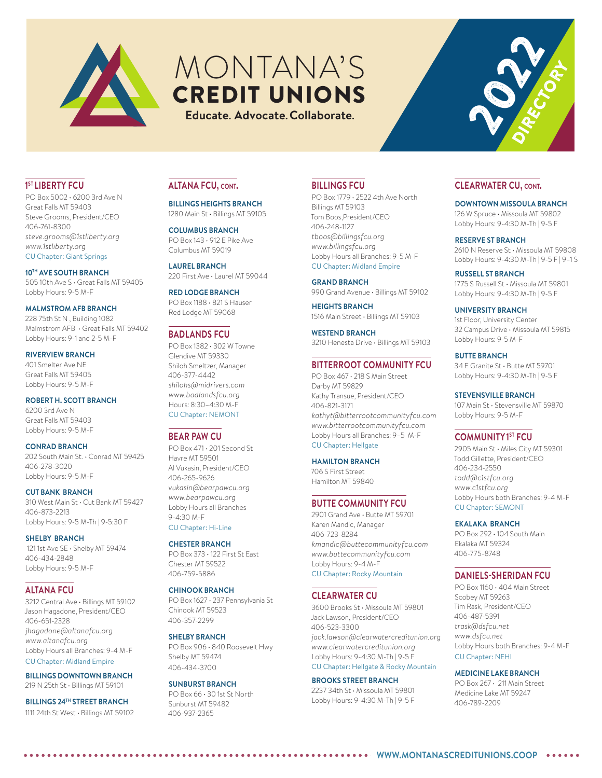

# MONTANA'S CREDIT UNIONS

**Educate. Advocate.Collaborate.**

### **1ST LIBERTY FCU**

PO Box 5002 • 6200 3rd Ave N Great Falls MT 59403 Steve Grooms, President/CEO 406-761-8300 *steve.grooms@1stliberty.org www.1stliberty.org* CU Chapter: Giant Springs

#### **10TH AVE SOUTH BRANCH**

505 10th Ave S • Great Falls MT 59405 Lobby Hours: 9-5 M-F

### **MALMSTROM AFB BRANCH**

228 75th St N , Building 1082 Malmstrom AFB • Great Falls MT 59402 Lobby Hours: 9-1 and 2-5 M-F

#### **RIVERVIEW BRANCH**

401 Smelter Ave NE Great Falls MT 59405 Lobby Hours: 9-5 M-F

### **ROBERT H. SCOTT BRANCH**

6200 3rd Ave N Great Falls MT 59403 Lobby Hours: 9-5 M-F

#### **CONRAD BRANCH**

202 South Main St. • Conrad MT 59425 406-278-3020 Lobby Hours: 9-5 M-F

#### **CUT BANK BRANCH**

310 West Main St • Cut Bank MT 59427 406-873-2213 Lobby Hours: 9-5 M-Th | 9-5:30 F

**SHELBY BRANCH** 121 1st Ave SE · Shelby MT 59474 406-434-2848 Lobby Hours: 9-5 M-F

### **ALTANA FCU**

3212 Central Ave • Billings MT 59102 Jason Hagadone, President/CEO 406-651-2328 *jhagadone@altanafcu.org www.altanafcu.org* Lobby Hours all Branches: 9-4 M-F CU Chapter: Midland Empire

## **BILLINGS DOWNTOWN BRANCH**

219 N 25th St • Billings MT 59101

**BILLINGS 24TH STREET BRANCH** 1111 24th St West • Billings MT 59102

### **ALTANA FCU, cont.**

**BILLINGS HEIGHTS BRANCH** 1280 Main St • Billings MT 59105

#### **COLUMBUS BRANCH** PO Box 143 • 912 E Pike Ave Columbus MT 59019

**LAUREL BRANCH** 220 First Ave · Laurel MT 59044

**RED LODGE BRANCH** PO Box 1188 • 821 S Hauser Red Lodge MT 59068

### **BADLANDS FCU**

PO Box 1382 • 302 W Towne Glendive MT 59330 Shiloh Smeltzer, Manager 406-377-4442 *shilohs@midrivers.com www.badlandsfcu.org* Hours: 8:30–4:30 M-F CU Chapter: NEMONT

### **BEAR PAW CU**

PO Box 471 • 201 Second St Havre MT 59501 Al Vukasin, President/CEO 406-265-9626 *vukasin@bearpawcu.org www.bearpawcu.org* Lobby Hours all Branches 9-4:30 M-F CU Chapter: Hi-Line

### **CHESTER BRANCH**

PO Box 373 • 122 First St East Chester MT 59522 406-759-5886

### **CHINOOK BRANCH**

PO Box 1627 • 237 Pennsylvania St Chinook MT 59523 406-357-2299

#### **SHELBY BRANCH**

PO Box 906 • 840 Roosevelt Hwy Shelby MT 59474 406-434-3700

#### **SUNBURST BRANCH**

PO Box 66 • 30 1st St North Sunburst MT 59482 406-937-2365

### **BILLINGS FCU**

PO Box 1779 • 2522 4th Ave North Billings MT 59103 Tom Boos,President/CEO 406-248-1127 *tboos@billingsfcu.org www.billingsfcu.org* Lobby Hours all Branches: 9-5 M-F CU Chapter: Midland Empire

### **GRAND BRANCH**

990 Grand Avenue • Billings MT 59102 **HEIGHTS BRANCH** 1516 Main Street • Billings MT 59103

**WESTEND BRANCH** 3210 Henesta Drive • Billings MT 59103

### **BITTERROOT COMMUNITY FCU**

PO Box 467 • 218 S Main Street Darby MT 59829 Kathy Transue, President/CEO 406-821-3171 *kathyt@bitterrootcommunityfcu.com www.bitterrootcommunityfcu.com* Lobby Hours all Branches: 9–5 M-F CU Chapter: Hellgate

#### **HAMILTON BRANCH**

706 S First Street Hamilton MT 59840

### **BUTTE COMMUNITY FCU**

2901 Grand Ave • Butte MT 59701 Karen Mandic, Manager 406-723-8284 *kmandic@buttecommunityfcu.com www.buttecommunityfcu.com* Lobby Hours: 9-4 M-F CU Chapter: Rocky Mountain

### **CLEARWATER CU**

3600 Brooks St • Missoula MT 59801 Jack Lawson, President/CEO 406-523-3300 *jack.lawson@clearwatercreditunion.org www.clearwatercreditunion.org* Lobby Hours: 9-4:30 M-Th | 9-5 F CU Chapter: Hellgate & Rocky Mountain

#### **BROOKS STREET BRANCH**

2237 34th St • Missoula MT 59801 Lobby Hours: 9-4:30 M-Th | 9-5 F

### **CLEARWATER CU, cont.**

**DOWNTOWN MISSOULA BRANCH**

126 W Spruce • Missoula MT 59802 Lobby Hours: 9-4:30 M-Th | 9-5 F

#### **RESERVE ST BRANCH**

2610 N Reserve St • Missoula MT 59808 Lobby Hours: 9-4:30 M-Th | 9-5 F | 9–1 S

**RUSSELL ST BRANCH** 1775 S Russell St • Missoula MT 59801 Lobby Hours: 9-4:30 M-Th | 9-5 F

#### **UNIVERSITY BRANCH**

1st Floor, University Center 32 Campus Drive • Missoula MT 59815 Lobby Hours: 9-5 M-F

### **BUTTE BRANCH**

34 E Granite St • Butte MT 59701 Lobby Hours: 9-4:30 M-Th | 9-5 F

#### **STEVENSVILLE BRANCH**

107 Main St • Stevensville MT 59870 Lobby Hours: 9-5 M-F

### **COMMUNITY1ST FCU**

2905 Main St • Miles City MT 59301 Todd Gillette, President/CEO 406-234-2550 *todd@c1stfcu.org www.c1stfcu.org* Lobby Hours both Branches: 9-4 M-F CU Chapter: SEMONT

#### **EKALAKA BRANCH**

PO Box 292 · 104 South Main Ekalaka MT 59324 406-775-8748

### **DANIELS-SHERIDAN FCU**

PO Box 1160 · 404 Main Street Scobey MT 59263 Tim Rask, President/CEO 406-487-5391 *trask@dsfcu.net www.dsfcu.net* Lobby Hours both Branches: 9-4 M-F CU Chapter: NEHI

#### **MEDICINE LAKE BRANCH**

PO Box 267 · 211 Main Street Medicine Lake MT 59247 406-789-2209

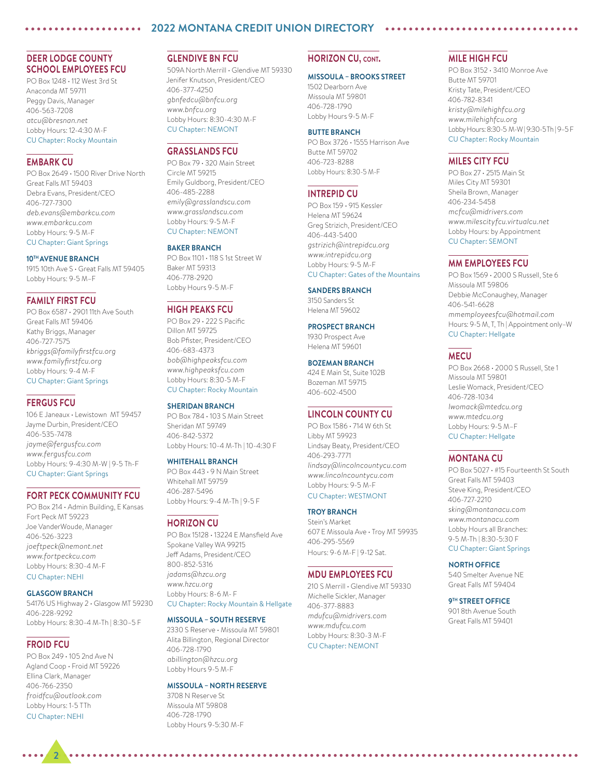### **2022 MONTANA CREDIT UNION DIRECTORY**

### **DEER LODGE COUNTY SCHOOL EMPLOYEES FCU**

PO Box 1248 • 112 West 3rd St Anaconda MT 59711 Peggy Davis, Manager 406-563-7208 *atcu@bresnan.net* Lobby Hours: 12-4:30 M-F CU Chapter: Rocky Mountain

### **EMBARK CU**

PO Box 2649 • 1500 River Drive North Great Falls MT 59403 Debra Evans, President/CEO 406-727-7300 *deb.evans@embarkcu.com www.embarkcu.com* Lobby Hours: 9-5 M-F CU Chapter: Giant Springs

#### **10TH AVENUE BRANCH**

1915 10th Ave S • Great Falls MT 59405 Lobby Hours: 9-5 M–F

#### **FAMILY FIRST FCU**

PO Box 6587 • 2901 11th Ave South Great Falls MT 59406 Kathy Briggs, Manager 406-727-7575 *kbriggs@familyfirstfcu.org www.familyfirstfcu.org* Lobby Hours: 9-4 M-F CU Chapter: Giant Springs

### **FERGUS FCU**

106 E Janeaux • Lewistown MT 59457 Jayme Durbin, President/CEO 406-535-7478 *jayme@fergusfcu.com www.fergusfcu.com* Lobby Hours: 9-4:30 M-W | 9-5 Th-F CU Chapter: Giant Springs

### **FORT PECK COMMUNITY FCU**

PO Box 214 • Admin Building, E Kansas Fort Peck MT 59223 Joe VanderWoude, Manager 406-526-3223 *joeftpeck@nemont.net www.fortpeckcu.com* Lobby Hours: 8:30-4 M-F CU Chapter: NEHI

#### **GLASGOW BRANCH**

54176 US Highway 2 • Glasgow MT 59230 406-228-9292 Lobby Hours: 8:30-4 M-Th | 8:30–5 F

### **FROID FCU**

**2**

PO Box 249 • 105 2nd Ave N Agland Coop • Froid MT 59226 Ellina Clark, Manager 406-766-2350 *froidfcu@outlook.com* Lobby Hours: 1-5 TTh CU Chapter: NEHI

### **GLENDIVE BN FCU**

509A North Merrill • Glendive MT 59330 Jenifer Knutson, President/CEO 406-377-4250 *gbnfedcu@bnfcu.org www.bnfcu.org* Lobby Hours: 8:30-4:30 M-F CU Chapter: NEMONT

### **GRASSLANDS FCU**

PO Box 79 • 320 Main Street Circle MT 59215 Emily Guldborg, President/CEO 406-485-2288 *emily@grasslandscu.com www.grasslandscu.com* Lobby Hours: 9-5 M-F CU Chapter: NEMONT

#### **BAKER BRANCH**

PO Box 1101 • 118 S 1st Street W Baker MT 59313 406-778-2920 Lobby Hours 9-5 M-F

#### **HIGH PEAKS FCU**

PO Box 29 • 222 S Pacific Dillon MT 59725 Bob Pfister, President/CEO 406-683-4373 *bob@highpeaksfcu.com www.highpeaksfcu.com* Lobby Hours: 8:30-5 M-F CU Chapter: Rocky Mountain

#### **SHERIDAN BRANCH**

PO Box 784 • 103 S Main Street Sheridan MT 59749 406-842-5372 Lobby Hours: 10-4 M-Th | 10-4:30 F

#### **WHITEHALL BRANCH**

PO Box 443 • 9 N Main Street Whitehall MT 59759 406-287-5496 Lobby Hours: 9-4 M-Th | 9-5 F

#### **HORIZON CU**

PO Box 15128 • 13224 E Mansfield Ave Spokane Valley WA 99215 Jeff Adams, President/CEO 800-852-5316 *jadams@hzcu.org www.hzcu.org* Lobby Hours: 8-6 M- F CU Chapter: Rocky Mountain & Hellgate

#### **MISSOULA – SOUTH RESERVE**

2330 S Reserve • Missoula MT 59801 Alita Billington, Regional Director 406-728-1790 *abillington@hzcu.org* Lobby Hours 9-5 M-F

#### **MISSOULA – NORTH RESERVE**

3708 N Reserve St Missoula MT 59808 406-728-1790 Lobby Hours 9-5:30 M-F

#### **HORIZON CU, cont.**

#### **MISSOULA – BROOKS STREET**

1502 Dearborn Ave Missoula MT 59801 406-728-1790 Lobby Hours 9-5 M-F

#### **BUTTE BRANCH**

PO Box 3726 • 1555 Harrison Ave Butte MT 59702 406-723-8288 Lobby Hours: 8:30-5 M-F

### **INTREPID CU**

PO Box 159 • 915 Kessler Helena MT 59624 Greg Strizich, President/CEO 406-443-5400 *gstrizich@intrepidcu.org www.intrepidcu.org* Lobby Hours: 9-5 M-F CU Chapter: Gates of the Mountains

#### **SANDERS BRANCH**

3150 Sanders St Helena MT 59602

#### **PROSPECT BRANCH**

1930 Prospect Ave Helena MT 59601

### **BOZEMAN BRANCH**

424 E Main St, Suite 102B Bozeman MT 59715 406-602-4500

### **LINCOLN COUNTY CU**

PO Box 1586 • 714 W 6th St Libby MT 59923 Lindsay Beaty, President/CEO 406-293-7771 *lindsay@lincolncountycu.com www.lincolncountycu.com* Lobby Hours: 9-5 M-F CU Chapter: WESTMONT

#### **TROY BRANCH**

Stein's Market 607 E Missoula Ave • Troy MT 59935 406-295-5569 Hours: 9-6 M-F | 9-12 Sat.

#### **MDU EMPLOYEES FCU**

210 S Merrill • Glendive MT 59330 Michelle Sickler, Manager 406-377-8883 *mdufcu@midrivers.com www.mdufcu.com* Lobby Hours: 8:30-3 M-F

#### CU Chapter: NEMONT

#### **MILE HIGH FCU**

PO Box 3152 • 3410 Monroe Ave Butte MT 59701 Kristy Tate, President/CEO 406-782-8341 *kristy@milehighfcu.org www.milehighfcu.org* Lobby Hours: 8:30-5 M-W | 9:30-5 Th | 9–5 F CU Chapter: Rocky Mountain

### **MILES CITY FCU**

PO Box 27 • 2515 Main St Miles City MT 59301 Sheila Brown, Manager 406-234-5458 *mcfcu@midrivers.com www.milescityfcu.virtualcu.net* Lobby Hours: by Appointment CU Chapter: SEMONT

#### **MM EMPLOYEES FCU**

PO Box 1569 • 2000 S Russell, Ste 6 Missoula MT 59806 Debbie McConaughey, Manager 406-541-6628 *mmemployeesfcu@hotmail.com* Hours: 9-5 M, T, Th | Appointment only–W CU Chapter: Hellgate

### **MECU**

PO Box 2668 • 2000 S Russell, Ste 1 Missoula MT 59801 Leslie Womack, President/CEO 406-728-1034 *lwomack@mtedcu.org www.mtedcu.org* Lobby Hours: 9-5 M–F CU Chapter: Hellgate

#### **MONTANA CU**

PO Box 5027 • #15 Fourteenth St South Great Falls MT 59403 Steve King, President/CEO 406-727-2210 *sking@montanacu.com www.montanacu.com* Lobby Hours all Branches: 9-5 M-Th | 8:30-5:30 F CU Chapter: Giant Springs

#### **NORTH OFFICE**

540 Smelter Avenue NE Great Falls MT 59404

#### **9TH STREET OFFICE**

901 8th Avenue South Great Falls MT 59401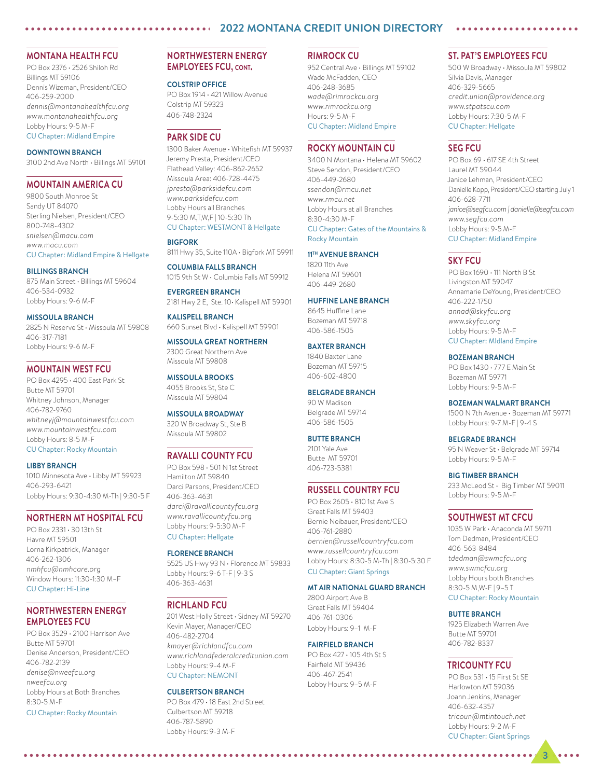### **2022 MONTANA CREDIT UNION DIRECTORY**

### **MONTANA HEALTH FCU**

PO Box 2376 • 2526 Shiloh Rd Billings MT 59106 Dennis Wizeman, President/CEO 406-259-2000 *dennis@montanahealthfcu.org www.montanahealthfcu.org* Lobby Hours: 9-5 M-F CU Chapter: Midland Empire

#### **DOWNTOWN BRANCH**

3100 2nd Ave North • Billings MT 59101

### **MOUNTAIN AMERICA CU**

9800 South Monroe St Sandy UT 84070 Sterling Nielsen, President/CEO 800-748-4302 *snielsen@macu.com www.macu.com*

### CU Chapter: Midland Empire & Hellgate

**BILLINGS BRANCH** 875 Main Street • Billings MT 59604 406-534-0932 Lobby Hours: 9-6 M-F

#### **MISSOULA BRANCH**

2825 N Reserve St • Missoula MT 59808 406-317-7181 Lobby Hours: 9-6 M-F

### **MOUNTAIN WEST FCU**

PO Box 4295 • 400 East Park St Butte MT 59701 Whitney Johnson, Manager 406-782-9760 *whitneyj@mountainwestfcu.com www.mountainwestfcu.com* Lobby Hours: 8-5 M-F CU Chapter: Rocky Mountain

#### **LIBBY BRANCH**

1010 Minnesota Ave • Libby MT 59923 406-293-6421 Lobby Hours: 9:30-4:30 M-Th | 9:30-5 F

### **NORTHERN MT HOSPITAL FCU**

PO Box 2331 • 30 13th St Havre MT 59501 Lorna Kirkpatrick, Manager 406-262-1306 *nmhfcu@nmhcare.org* Window Hours: 11:30-1:30 M–F CU Chapter: Hi-Line

### **NORTHWESTERN ENERGY EMPLOYEES FCU**

PO Box 3529 • 2100 Harrison Ave Butte MT 59701 Denise Anderson, President/CEO 406-782-2139 *denise@nweefcu.org nweefcu.org* Lobby Hours at Both Branches 8:30-5 M-F

CU Chapter: Rocky Mountain

### **NORTHWESTERN ENERGY EMPLOYEES FCU, cont.**

#### **COLSTRIP OFFICE**

PO Box 1914 • 421 Willow Avenue Colstrip MT 59323 406-748-2324

### **PARK SIDE CU**

1300 Baker Avenue • Whitefish MT 59937 Jeremy Presta, President/CEO Flathead Valley: 406-862-2652 Missoula Area: 406-728-4475 *jpresta@parksidefcu.com www.parksidefcu.com* Lobby Hours all Branches 9-5:30 M,T,W,F | 10-5:30 Th CU Chapter: WESTMONT & Hellgate

#### **BIGFORK**

8111 Hwy 35, Suite 110A • Bigfork MT 59911

**COLUMBIA FALLS BRANCH** 1015 9th St W • Columbia Falls MT 59912

**EVERGREEN BRANCH** 2181 Hwy 2 E, Ste. 10• Kalispell MT 59901

**KALISPELL BRANCH** 660 Sunset Blvd • Kalispell MT 59901

**MISSOULA GREAT NORTHERN** 2300 Great Northern Ave Missoula MT 59808

#### **MISSOULA BROOKS**

4055 Brooks St, Ste C Missoula MT 59804

### **MISSOULA BROADWAY**

320 W Broadway St, Ste B Missoula MT 59802

#### **RAVALLI COUNTY FCU**

PO Box 598 • 501 N 1st Street Hamilton MT 59840 Darci Parsons, President/CEO 406-363-4631 *darci@ravallicountyfcu.org www.ravallicountyfcu.org* Lobby Hours: 9-5:30 M-F CU Chapter: Hellgate

### **FLORENCE BRANCH**

5525 US Hwy 93 N • Florence MT 59833 Lobby Hours: 9-6 T-F | 9-3 S 406-363-4631

#### **RICHLAND FCU**

201 West Holly Street • Sidney MT 59270 Kevin Mayer, Manager/CEO 406-482-2704 *kmayer@richlandfcu.com www.richlandfederalcreditunion.com* Lobby Hours: 9-4 M-F CU Chapter: NEMONT

#### **CULBERTSON BRANCH**

PO Box 479 • 18 East 2nd Street Culbertson MT 59218 406-787-5890 Lobby Hours: 9-3 M-F

### **RIMROCK CU**

952 Central Ave • Billings MT 59102 Wade McFadden, CEO 406-248-3685 *wade@rimrockcu.org www.rimrockcu.org* Hours: 9-5 M-F CU Chapter: Midland Empire

### **ROCKY MOUNTAIN CU**

3400 N Montana • Helena MT 59602 Steve Sendon, President/CEO 406-449-2680 *ssendon@rmcu.net www.rmcu.net* Lobby Hours at all Branches 8:30-4:30 M-F CU Chapter: Gates of the Mountains & Rocky Mountain

### **11TH AVENUE BRANCH**

1820 11th Ave Helena MT 59601 406-449-2680

#### **HUFFINE LANE BRANCH**

8645 Huffine Lane Bozeman MT 59718 406-586-1505

### **BAXTER BRANCH**

1840 Baxter Lane Bozeman MT 59715 406-602-4800

### **BELGRADE BRANCH**

90 W Madison Belgrade MT 59714 406-586-1505

### **BUTTE BRANCH**

2101 Yale Ave Butte MT 59701 406-723-5381

#### **RUSSELL COUNTRY FCU**

PO Box 2605 • 810 1st Ave S Great Falls MT 59403 Bernie Neibauer, President/CEO 406-761-2880 *bernien@russellcountryfcu.com www.russellcountryfcu.com* Lobby Hours: 8:30-5 M-Th | 8:30-5:30 F CU Chapter: Giant Springs

#### **MT AIR NATIONAL GUARD BRANCH**

2800 Airport Ave B Great Falls MT 59404 406-761-0306 Lobby Hours: 9–1 M-F

### **FAIRFIELD BRANCH**

PO Box 427 • 105 4th St S Fairfield MT 59436 406-467-2541 Lobby Hours: 9–5 M-F

### **ST. PAT'S EMPLOYEES FCU**

500 W Broadway • Missoula MT 59802 Silvia Davis, Manager 406-329-5665 *credit.union@providence.org www.stpatscu.com* Lobby Hours: 7:30-5 M-F CU Chapter: Hellgate

### **SEG FCU**

PO Box 69 • 617 SE 4th Street Laurel MT 59044 Janice Lehman, President/CEO Danielle Kopp, President/CEO starting July 1 406-628-7711 *janice@segfcu.com | danielle@segfcu.com www.segfcu.com* Lobby Hours: 9-5 M-F CU Chapter: Midland Empire

#### **SKY FCU**

PO Box 1690 • 111 North B St Livingston MT 59047 Annamarie DeYoung, President/CEO 406-222-1750 *annad@skyfcu.org www.skyfcu.org* Lobby Hours: 9-5 M-F CU Chapter: MIdland Empire

#### **BOZEMAN BRANCH**

PO Box 1430 • 777 E Main St Bozeman MT 59771 Lobby Hours: 9-5 M-F

#### **BOZEMAN WALMART BRANCH**

1500 N 7th Avenue • Bozeman MT 59771 Lobby Hours: 9-7 M-F | 9-4 S

#### **BELGRADE BRANCH**

95 N Weaver St • Belgrade MT 59714 Lobby Hours: 9-5 M-F

#### **BIG TIMBER BRANCH**

233 McLeod St • Big Timber MT 59011 Lobby Hours: 9-5 M-F

#### **SOUTHWEST MT CFCU**

1035 W Park • Anaconda MT 59711 Tom Dedman, President/CEO 406-563-8484 *tdedman@swmcfcu.org www.swmcfcu.org* Lobby Hours both Branches 8:30-5 M,W-F | 9–5 T CU Chapter: Rocky Mountain

#### **BUTTE BRANCH**

1925 Elizabeth Warren Ave Butte MT 59701 406-782-8337

### **TRICOUNTY FCU**

PO Box 531 • 15 First St SE Harlowton MT 59036 Joann Jenkins, Manager 406-632-4357 *tricoun@mtintouch.net* Lobby Hours: 9-2 M-F CU Chapter: Giant Springs

**3**